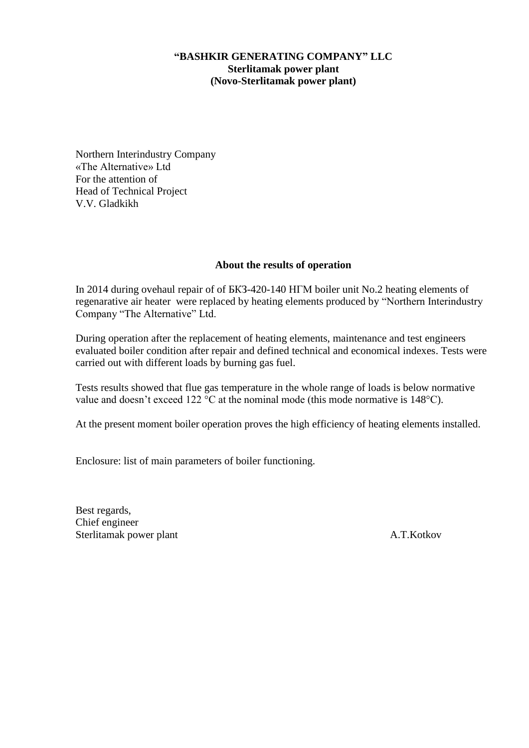## **"BASHKIR GENERATING COMPANY" LLC Sterlitamak power plant (Novo-Sterlitamak power plant)**

Northern Interindustry Company «The Alternative» Ltd For the attention of Head of Technical Project V.V. Gladkikh

## **About the results of operation**

In 2014 during ovehaul repair of of БКЗ-420-140 НГМ boiler unit No.2 heating elements of regenarative air heater were replaced by heating elements produced by "Northern Interindustry Company "The Alternative" Ltd.

During operation after the replacement of heating elements, maintenance and test engineers evaluated boiler condition after repair and defined technical and economical indexes. Tests were carried out with different loads by burning gas fuel.

Tests results showed that flue gas temperature in the whole range of loads is below normative value and doesn't exceed 122 °C at the nominal mode (this mode normative is 148°C).

At the present moment boiler operation proves the high efficiency of heating elements installed.

Enclosure: list of main parameters of boiler functioning.

Best regards, Chief engineer Sterlitamak power plant A.T.Kotkov